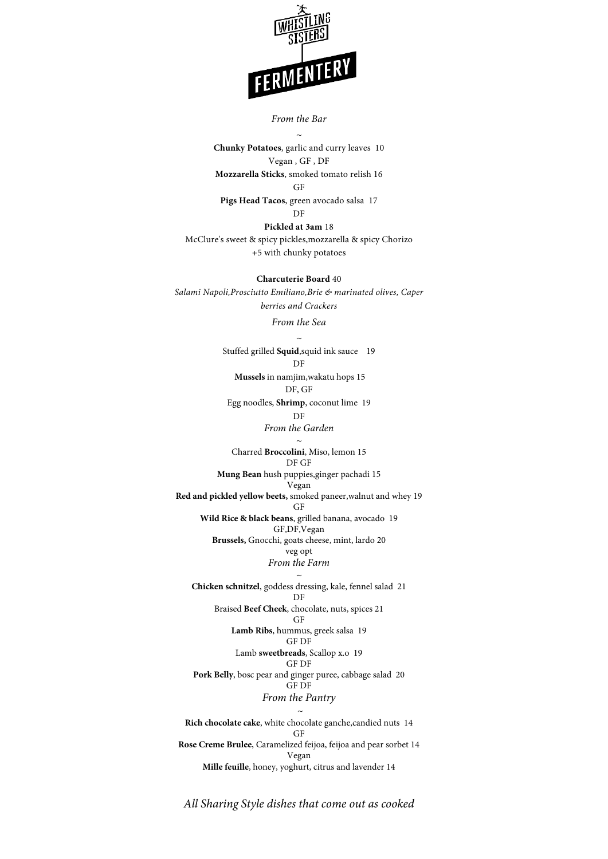

#### *From the Bar*

*~* **Chunky Potatoes**, garlic and curry leaves 10 Vegan , GF , DF **Mozzarella Sticks**, smoked tomato relish 16  $G<sub>F</sub>$ 

**Pigs Head Tacos**, green avocado salsa 17 DF

**Pickled at 3am** 18 McClure's sweet & spicy pickles,mozzarella & spicy Chorizo +5 with chunky potatoes

**Charcuterie Board** 40 *Salami Napoli,Prosciutto Emiliano,Brie & marinated olives, Caper berries and Crackers*

*From the Sea*

*~* Stuffed grilled **Squid**,squid ink sauce 19 DF  **Mussels** in namjim,wakatu hops 15 DF, GF

Egg noodles, **Shrimp**, coconut lime 19 DF

*From the Garden* 

*~* Charred **Broccolini**, Miso, lemon 15 DF GF

**Mung Bean** hush puppies,ginger pachadi 15 Vegan

**Red and pickled yellow beets,** smoked paneer,walnut and whey 19 GF

**Wild Rice & black beans**, grilled banana, avocado 19 GF,DF,Vegan

**Brussels,** Gnocchi, goats cheese, mint, lardo 20 veg opt *From the Farm* 

*~*

**Chicken schnitzel**, goddess dressing, kale, fennel salad 21 DF Braised **Beef Cheek**, chocolate, nuts, spices 21 GF

> **Lamb Ribs**, hummus, greek salsa 19 GF DF

Lamb **sweetbreads**, Scallop x.o 19

## GF DF

**Pork Belly**, bosc pear and ginger puree, cabbage salad 20 GF DF

## *From the Pantry*

*~* **Rich chocolate cake**, white chocolate ganche,candied nuts 14 GF **Rose Creme Brulee**, Caramelized feijoa, feijoa and pear sorbet 14 Vegan **Mille feuille**, honey, yoghurt, citrus and lavender 14

*All Sharing Style dishes that come out as cooked*